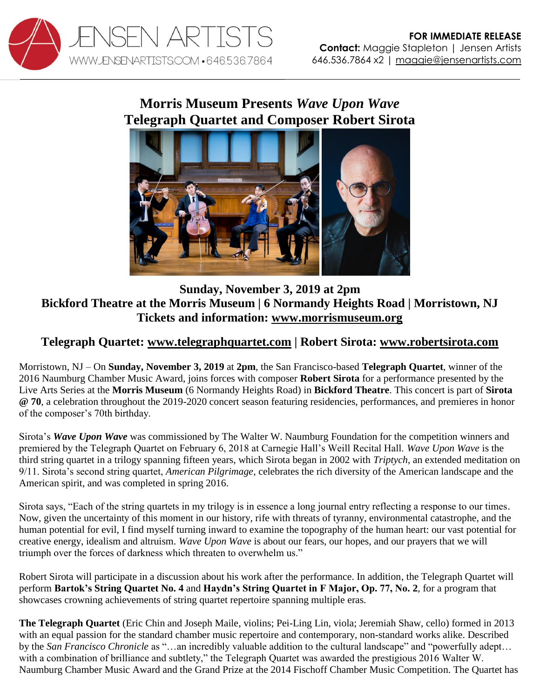

## **Morris Museum Presents** *Wave Upon Wave* **Telegraph Quartet and Composer Robert Sirota**



## **Sunday, November 3, 2019 at 2pm Bickford Theatre at the Morris Museum | 6 Normandy Heights Road | Morristown, NJ Tickets and information: [www.morrismuseum.org](https://morrismuseum.org/events/wave-upon-wave/)**

## **Telegraph Quartet: [www.telegraphquartet.com](http://www.telegraphquartet.com/) | Robert Sirota: [www.robertsirota.com](http://www.robertsirota.com/)**

Morristown, NJ – On **Sunday, November 3, 2019** at **2pm**, the San Francisco-based **Telegraph Quartet**, winner of the 2016 Naumburg Chamber Music Award, joins forces with composer **Robert Sirota** for a performance presented by the Live Arts Series at the **Morris Museum** (6 Normandy Heights Road) in **Bickford Theatre**. This concert is part of **Sirota @ 70**, a celebration throughout the 2019-2020 concert season featuring residencies, performances, and premieres in honor of the composer's 70th birthday.

Sirota's *Wave Upon Wave* was commissioned by The Walter W. Naumburg Foundation for the competition winners and premiered by the Telegraph Quartet on February 6, 2018 at Carnegie Hall's Weill Recital Hall. *Wave Upon Wave* is the third string quartet in a trilogy spanning fifteen years, which Sirota began in 2002 with *Triptych*, an extended meditation on 9/11. Sirota's second string quartet, *American Pilgrimage*, celebrates the rich diversity of the American landscape and the American spirit, and was completed in spring 2016.

Sirota says, "Each of the string quartets in my trilogy is in essence a long journal entry reflecting a response to our times. Now, given the uncertainty of this moment in our history, rife with threats of tyranny, environmental catastrophe, and the human potential for evil, I find myself turning inward to examine the topography of the human heart: our vast potential for creative energy, idealism and altruism. *Wave Upon Wave* is about our fears, our hopes, and our prayers that we will triumph over the forces of darkness which threaten to overwhelm us."

Robert Sirota will participate in a discussion about his work after the performance. In addition, the Telegraph Quartet will perform **Bartok's String Quartet No. 4** and **Haydn's String Quartet in F Major, Op. 77, No. 2**, for a program that showcases crowning achievements of string quartet repertoire spanning multiple eras.

**The Telegraph Quartet** (Eric Chin and Joseph Maile, violins; Pei-Ling Lin, viola; Jeremiah Shaw, cello) formed in 2013 with an equal passion for the standard chamber music repertoire and contemporary, non-standard works alike. Described by the *San Francisco Chronicle* as "…an incredibly valuable addition to the cultural landscape" and "powerfully adept… with a combination of brilliance and subtlety," the Telegraph Quartet was awarded the prestigious 2016 Walter W. Naumburg Chamber Music Award and the Grand Prize at the 2014 Fischoff Chamber Music Competition. The Quartet has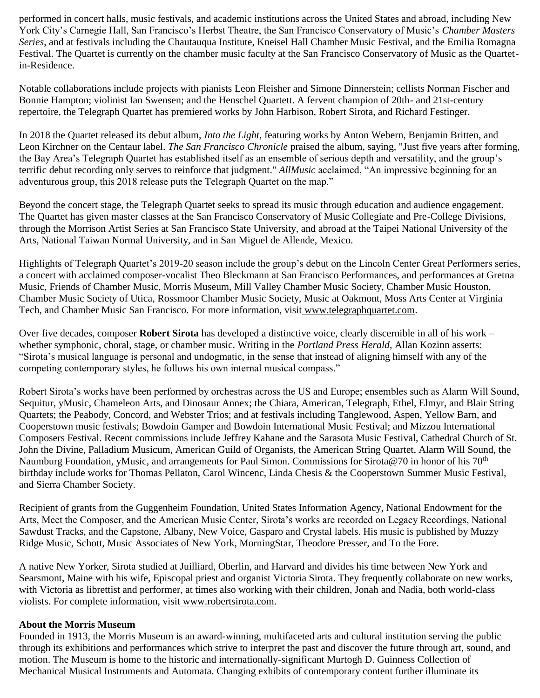performed in concert halls, music festivals, and academic institutions across the United States and abroad, including New York City's Carnegie Hall, San Francisco's Herbst Theatre, the San Francisco Conservatory of Music's *Chamber Masters Series*, and at festivals including the Chautauqua Institute, Kneisel Hall Chamber Music Festival, and the Emilia Romagna Festival. The Quartet is currently on the chamber music faculty at the San Francisco Conservatory of Music as the Quartetin-Residence.

Notable collaborations include projects with pianists Leon Fleisher and Simone Dinnerstein; cellists Norman Fischer and Bonnie Hampton; violinist Ian Swensen; and the Henschel Quartett. A fervent champion of 20th- and 21st-century repertoire, the Telegraph Quartet has premiered works by John Harbison, Robert Sirota, and Richard Festinger.

In 2018 the Quartet released its debut album, *Into the Light*, featuring works by Anton Webern, Benjamin Britten, and Leon Kirchner on the Centaur label. *The San Francisco Chronicle* praised the album, saying, "Just five years after forming, the Bay Area's Telegraph Quartet has established itself as an ensemble of serious depth and versatility, and the group's terrific debut recording only serves to reinforce that judgment." *AllMusic* acclaimed, "An impressive beginning for an adventurous group, this 2018 release puts the Telegraph Quartet on the map."

Beyond the concert stage, the Telegraph Quartet seeks to spread its music through education and audience engagement. The Quartet has given master classes at the San Francisco Conservatory of Music Collegiate and Pre-College Divisions, through the Morrison Artist Series at San Francisco State University, and abroad at the Taipei National University of the Arts, National Taiwan Normal University, and in San Miguel de Allende, Mexico.

Highlights of Telegraph Quartet's 2019-20 season include the group's debut on the Lincoln Center Great Performers series, a concert with acclaimed composer-vocalist Theo Bleckmann at San Francisco Performances, and performances at Gretna Music, Friends of Chamber Music, Morris Museum, Mill Valley Chamber Music Society, Chamber Music Houston, Chamber Music Society of Utica, Rossmoor Chamber Music Society, Music at Oakmont, Moss Arts Center at Virginia Tech, and Chamber Music San Francisco. For more information, visit [www.telegraphquartet.com.](http://www.telegraphquartet.com/)

Over five decades, composer **Robert Sirota** has developed a distinctive voice, clearly discernible in all of his work – whether symphonic, choral, stage, or chamber music. Writing in the *Portland Press Herald*, Allan Kozinn asserts: "Sirota's musical language is personal and undogmatic, in the sense that instead of aligning himself with any of the competing contemporary styles, he follows his own internal musical compass."

Robert Sirota's works have been performed by orchestras across the US and Europe; ensembles such as Alarm Will Sound, Sequitur, yMusic, Chameleon Arts, and Dinosaur Annex; the Chiara, American, Telegraph, Ethel, Elmyr, and Blair String Quartets; the Peabody, Concord, and Webster Trios; and at festivals including Tanglewood, Aspen, Yellow Barn, and Cooperstown music festivals; Bowdoin Gamper and Bowdoin International Music Festival; and Mizzou International Composers Festival. Recent commissions include Jeffrey Kahane and the Sarasota Music Festival, Cathedral Church of St. John the Divine, Palladium Musicum, American Guild of Organists, the American String Quartet, Alarm Will Sound, the Naumburg Foundation, yMusic, and arrangements for Paul Simon. Commissions for Sirota@70 in honor of his  $70<sup>th</sup>$ birthday include works for Thomas Pellaton, Carol Wincenc, Linda Chesis & the Cooperstown Summer Music Festival, and Sierra Chamber Society.

Recipient of grants from the Guggenheim Foundation, United States Information Agency, National Endowment for the Arts, Meet the Composer, and the American Music Center, Sirota's works are recorded on Legacy Recordings, National Sawdust Tracks, and the Capstone, Albany, New Voice, Gasparo and Crystal labels. His music is published by Muzzy Ridge Music, Schott, Music Associates of New York, MorningStar, Theodore Presser, and To the Fore.

A native New Yorker, Sirota studied at Juilliard, Oberlin, and Harvard and divides his time between New York and Searsmont, Maine with his wife, Episcopal priest and organist Victoria Sirota. They frequently collaborate on new works, with Victoria as librettist and performer, at times also working with their children, Jonah and Nadia, both world-class violists. For complete information, visit [www.robertsirota.com.](http://www.robertsirota.com/)

## **About the Morris Museum**

Founded in 1913, the Morris Museum is an award-winning, multifaceted arts and cultural institution serving the public through its exhibitions and performances which strive to interpret the past and discover the future through art, sound, and motion. The Museum is home to the historic and internationally-significant Murtogh D. Guinness Collection of Mechanical Musical Instruments and Automata. Changing exhibits of contemporary content further illuminate its